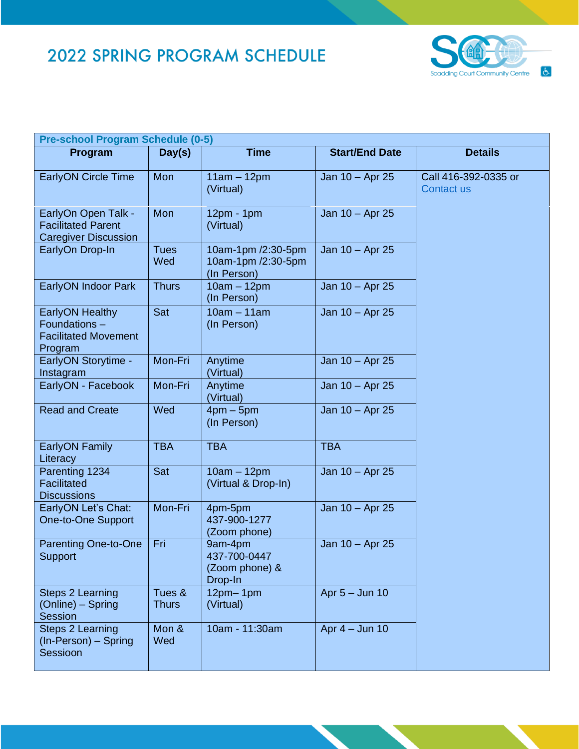

| <b>Pre-school Program Schedule (0-5)</b>                                         |                        |                                                         |                       |                                    |  |  |
|----------------------------------------------------------------------------------|------------------------|---------------------------------------------------------|-----------------------|------------------------------------|--|--|
| Program                                                                          | Day(s)                 | <b>Time</b>                                             | <b>Start/End Date</b> | <b>Details</b>                     |  |  |
| <b>EarlyON Circle Time</b>                                                       | Mon                    | $11am - 12pm$<br>(Virtual)                              | Jan 10 - Apr 25       | Call 416-392-0335 or<br>Contact us |  |  |
| EarlyOn Open Talk -<br><b>Facilitated Parent</b><br><b>Caregiver Discussion</b>  | Mon                    | $12pm - 1pm$<br>(Virtual)                               | Jan 10 - Apr 25       |                                    |  |  |
| EarlyOn Drop-In                                                                  | <b>Tues</b><br>Wed     | 10am-1pm /2:30-5pm<br>10am-1pm /2:30-5pm<br>(In Person) | Jan 10 - Apr 25       |                                    |  |  |
| EarlyON Indoor Park                                                              | <b>Thurs</b>           | $10am - 12pm$<br>(In Person)                            | Jan 10 - Apr 25       |                                    |  |  |
| <b>EarlyON Healthy</b><br>Foundations-<br><b>Facilitated Movement</b><br>Program | Sat                    | $10am - 11am$<br>(In Person)                            | Jan 10 - Apr 25       |                                    |  |  |
| <b>EarlyON Storytime -</b><br>Instagram                                          | Mon-Fri                | Anytime<br>(Virtual)                                    | Jan 10 - Apr 25       |                                    |  |  |
| EarlyON - Facebook                                                               | Mon-Fri                | Anytime<br>(Virtual)                                    | Jan 10 - Apr 25       |                                    |  |  |
| <b>Read and Create</b>                                                           | Wed                    | $4pm-5pm$<br>(In Person)                                | Jan 10 - Apr 25       |                                    |  |  |
| <b>EarlyON Family</b><br>Literacy                                                | <b>TBA</b>             | <b>TBA</b>                                              | <b>TBA</b>            |                                    |  |  |
| Parenting 1234<br>Facilitated<br><b>Discussions</b>                              | Sat                    | $10am - 12pm$<br>(Virtual & Drop-In)                    | Jan 10 - Apr 25       |                                    |  |  |
| EarlyON Let's Chat:<br>One-to-One Support                                        | Mon-Fri                | 4pm-5pm<br>437-900-1277<br>(Zoom phone)                 | Jan 10 - Apr 25       |                                    |  |  |
| Parenting One-to-One<br>Support                                                  | Fri                    | 9am-4pm<br>437-700-0447<br>(Zoom phone) &<br>Drop-In    | Jan 10 - Apr 25       |                                    |  |  |
| <b>Steps 2 Learning</b><br>(Online) – Spring<br><b>Session</b>                   | Tues &<br><b>Thurs</b> | $12pm-1pm$<br>(Virtual)                                 | Apr 5 - Jun 10        |                                    |  |  |
| <b>Steps 2 Learning</b><br>(In-Person) - Spring<br>Sessioon                      | Mon &<br>Wed           | 10am - 11:30am                                          | Apr $4 -$ Jun 10      |                                    |  |  |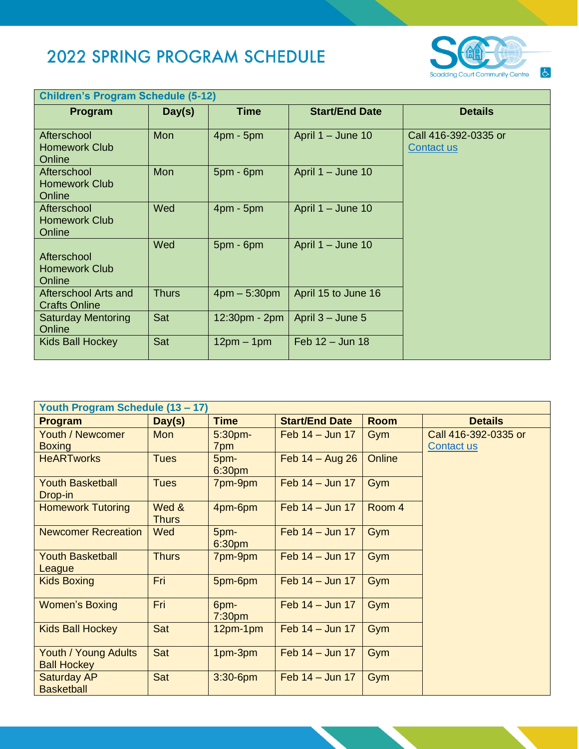

| <b>Children's Program Schedule (5-12)</b>     |        |                |                       |                                           |  |  |  |
|-----------------------------------------------|--------|----------------|-----------------------|-------------------------------------------|--|--|--|
| Program                                       | Day(s) | <b>Time</b>    | <b>Start/End Date</b> | <b>Details</b>                            |  |  |  |
| Afterschool<br><b>Homework Club</b><br>Online | Mon    | $4pm - 5pm$    | April 1 - June 10     | Call 416-392-0335 or<br><b>Contact us</b> |  |  |  |
| Afterschool<br><b>Homework Club</b><br>Online | Mon    | $5pm - 6pm$    | April 1 - June 10     |                                           |  |  |  |
| Afterschool<br><b>Homework Club</b><br>Online | Wed    | $4pm - 5pm$    | April 1 - June 10     |                                           |  |  |  |
| Afterschool<br><b>Homework Club</b><br>Online | Wed    | $5pm - 6pm$    | April 1 - June 10     |                                           |  |  |  |
| Afterschool Arts and<br><b>Crafts Online</b>  | Thurs  | $4pm - 5:30pm$ | April 15 to June 16   |                                           |  |  |  |
| <b>Saturday Mentoring</b><br>Online           | Sat    | 12:30pm - 2pm  | April $3 -$ June 5    |                                           |  |  |  |
| Kids Ball Hockey                              | Sat    | $12pm - 1pm$   | Feb 12 - Jun 18       |                                           |  |  |  |

| Youth Program Schedule (13 – 17) |              |                            |                       |             |                      |  |
|----------------------------------|--------------|----------------------------|-----------------------|-------------|----------------------|--|
| Program                          | Day(s)       | <b>Time</b>                | <b>Start/End Date</b> | <b>Room</b> | <b>Details</b>       |  |
| <b>Youth / Newcomer</b>          | <b>Mon</b>   | $5:30$ pm-                 | Feb $14 -$ Jun 17     | Gym         | Call 416-392-0335 or |  |
| <b>Boxing</b>                    |              | 7pm                        |                       |             | Contact us           |  |
| <b>HeARTworks</b>                | <b>Tues</b>  | 5pm-<br>6:30pm             | Feb $14 - Aug 26$     | Online      |                      |  |
| <b>Youth Basketball</b>          | <b>Tues</b>  | 7pm-9pm                    | Feb $14 -$ Jun 17     | Gym         |                      |  |
| Drop-in                          |              |                            |                       |             |                      |  |
| <b>Homework Tutoring</b>         | Wed &        | 4pm-6pm                    | Feb $14 -$ Jun 17     | Room 4      |                      |  |
|                                  | <b>Thurs</b> |                            |                       |             |                      |  |
| <b>Newcomer Recreation</b>       | Wed          | 5pm-<br>6:30pm             | Feb $14 -$ Jun 17     | Gym         |                      |  |
| <b>Youth Basketball</b>          | <b>Thurs</b> | 7pm-9pm                    | Feb $14 -$ Jun 17     | Gym         |                      |  |
| League                           |              |                            |                       |             |                      |  |
| <b>Kids Boxing</b>               | Fri          | 5pm-6pm                    | Feb $14 -$ Jun 17     | Gym         |                      |  |
| <b>Women's Boxing</b>            | Fri          | 6pm-<br>7:30 <sub>pm</sub> | Feb $14 -$ Jun 17     | Gym         |                      |  |
| <b>Kids Ball Hockey</b>          | Sat          | $12pm-1pm$                 | Feb $14 -$ Jun 17     | Gym         |                      |  |
| Youth / Young Adults             | Sat          | 1pm-3pm                    | Feb $14 -$ Jun 17     | Gym         |                      |  |
| <b>Ball Hockey</b>               |              |                            |                       |             |                      |  |
| <b>Saturday AP</b>               | Sat          | $3:30 - 6$ pm              | Feb $14 -$ Jun 17     | Gym         |                      |  |
| <b>Basketball</b>                |              |                            |                       |             |                      |  |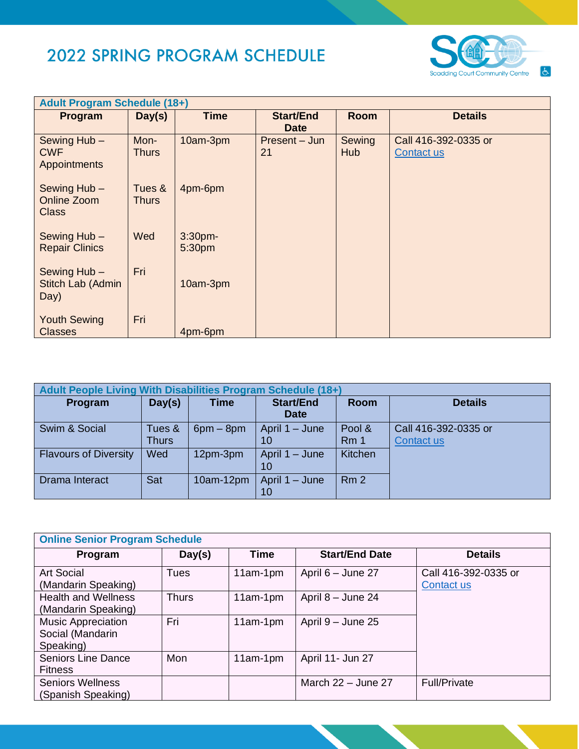

| <b>Adult Program Schedule (18+)</b>               |                        |                      |                                 |                      |                                    |  |
|---------------------------------------------------|------------------------|----------------------|---------------------------------|----------------------|------------------------------------|--|
| Program                                           | Day(s)                 | <b>Time</b>          | <b>Start/End</b><br><b>Date</b> | <b>Room</b>          | <b>Details</b>                     |  |
| Sewing Hub -<br><b>CWF</b><br><b>Appointments</b> | Mon-<br><b>Thurs</b>   | 10am-3pm             | Present - Jun<br>21             | Sewing<br><b>Hub</b> | Call 416-392-0335 or<br>Contact us |  |
| Sewing Hub -<br>Online Zoom<br><b>Class</b>       | Tues &<br><b>Thurs</b> | 4pm-6pm              |                                 |                      |                                    |  |
| Sewing Hub -<br><b>Repair Clinics</b>             | Wed                    | $3:30$ pm-<br>5:30pm |                                 |                      |                                    |  |
| Sewing Hub -<br>Stitch Lab (Admin<br>Day)         | Fri                    | 10am-3pm             |                                 |                      |                                    |  |
| <b>Youth Sewing</b><br><b>Classes</b>             | Fri                    | 4pm-6pm              |                                 |                      |                                    |  |

| Adult People Living With Disabilities Program Schedule (18+) |                 |             |                                 |                           |                                    |  |  |
|--------------------------------------------------------------|-----------------|-------------|---------------------------------|---------------------------|------------------------------------|--|--|
| Program                                                      | Day(s)          | <b>Time</b> | <b>Start/End</b><br><b>Date</b> | <b>Room</b>               | <b>Details</b>                     |  |  |
| Swim & Social                                                | Tues &<br>Thurs | $6pm - 8pm$ | April 1 – June<br>10            | Pool &<br>Rm <sub>1</sub> | Call 416-392-0335 or<br>Contact us |  |  |
| <b>Flavours of Diversity</b>                                 | Wed             | 12pm-3pm    | April 1 – June<br>10            | Kitchen                   |                                    |  |  |
| Drama Interact                                               | Sat             | $10am-12pm$ | April 1 - June<br>10            | Rm <sub>2</sub>           |                                    |  |  |

| <b>Online Senior Program Schedule</b>               |              |             |                       |                                    |  |  |
|-----------------------------------------------------|--------------|-------------|-----------------------|------------------------------------|--|--|
| Program                                             | Day(s)       | <b>Time</b> | <b>Start/End Date</b> | <b>Details</b>                     |  |  |
| <b>Art Social</b><br>(Mandarin Speaking)            | Tues         | $11am-1pm$  | April 6 - June 27     | Call 416-392-0335 or<br>Contact us |  |  |
| <b>Health and Wellness</b><br>(Mandarin Speaking)   | <b>Thurs</b> | 11am-1pm    | April 8 - June 24     |                                    |  |  |
| Music Appreciation<br>Social (Mandarin<br>Speaking) | Fri          | $11am-1pm$  | April 9 - June 25     |                                    |  |  |
| <b>Seniors Line Dance</b><br><b>Fitness</b>         | Mon          | $11am-1pm$  | April 11- Jun 27      |                                    |  |  |
| <b>Seniors Wellness</b><br>(Spanish Speaking)       |              |             | March $22 -$ June 27  | <b>Full/Private</b>                |  |  |